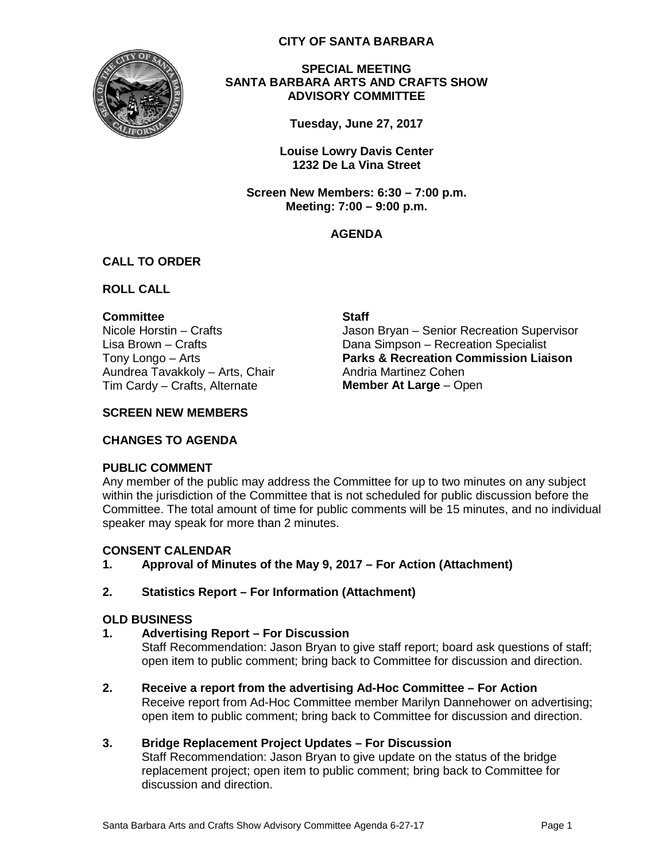

**CITY OF SANTA BARBARA**

**SPECIAL MEETING SANTA BARBARA ARTS AND CRAFTS SHOW ADVISORY COMMITTEE**

**Tuesday, June 27, 2017**

**Louise Lowry Davis Center 1232 De La Vina Street**

**Screen New Members: 6:30 – 7:00 p.m. Meeting: 7:00 – 9:00 p.m.**

## **AGENDA**

## **CALL TO ORDER**

**ROLL CALL**

**Committee Staff** Aundrea Tavakkoly – Arts, Chair **Andria Martinez Cohen** Tim Cardy – Crafts, Alternate **Member At Large** – Open

Nicole Horstin – Crafts The Museum Jason Bryan – Senior Recreation Supervisor Lisa Brown – Crafts **Dana Simpson – Recreation Specialist** Tony Longo – Arts **Parks & Recreation Commission Liaison**

## **SCREEN NEW MEMBERS**

#### **CHANGES TO AGENDA**

## **PUBLIC COMMENT**

Any member of the public may address the Committee for up to two minutes on any subject within the jurisdiction of the Committee that is not scheduled for public discussion before the Committee. The total amount of time for public comments will be 15 minutes, and no individual speaker may speak for more than 2 minutes.

## **CONSENT CALENDAR**

**1. Approval of Minutes of the May 9, 2017 – For Action (Attachment)**

## **2. Statistics Report – For Information (Attachment)**

#### **OLD BUSINESS**

**1. Advertising Report – For Discussion**

Staff Recommendation: Jason Bryan to give staff report; board ask questions of staff; open item to public comment; bring back to Committee for discussion and direction.

**2. Receive a report from the advertising Ad-Hoc Committee – For Action** Receive report from Ad-Hoc Committee member Marilyn Dannehower on advertising; open item to public comment; bring back to Committee for discussion and direction.

## **3. Bridge Replacement Project Updates – For Discussion**

Staff Recommendation: Jason Bryan to give update on the status of the bridge replacement project; open item to public comment; bring back to Committee for discussion and direction.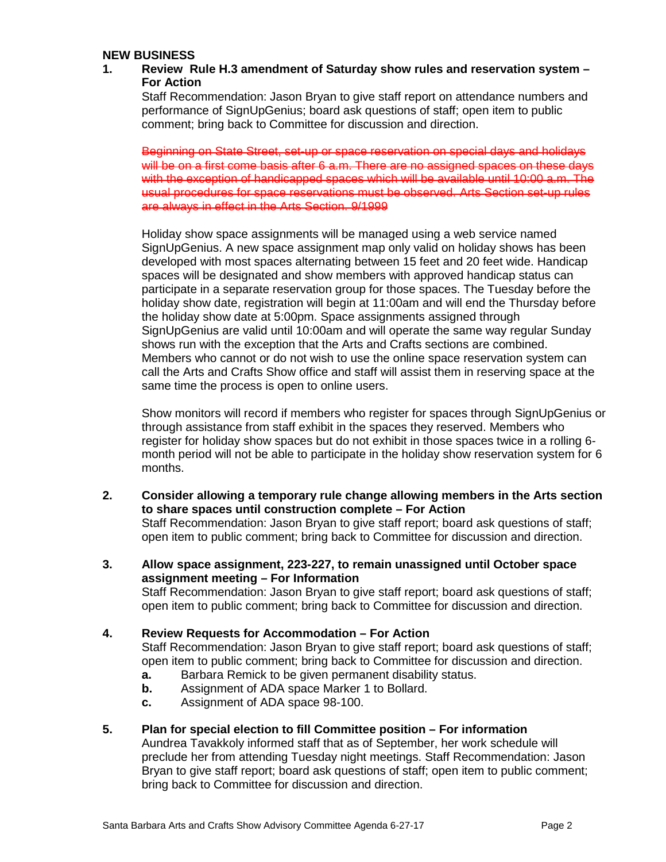#### **NEW BUSINESS**

## **1. Review Rule H.3 amendment of Saturday show rules and reservation system – For Action**

Staff Recommendation: Jason Bryan to give staff report on attendance numbers and performance of SignUpGenius; board ask questions of staff; open item to public comment; bring back to Committee for discussion and direction.

Beginning on State Street, set-up or space reservation on special days and holidays will be on a first come basis after 6 a.m. There are no assigned spaces on these days with the exception of handicapped spaces which will be available until 10:00 a.m. The usual procedures for space reservations must be observed. Arts Section set-up rules are always in effect in the Arts Section. 9/1999

Holiday show space assignments will be managed using a web service named SignUpGenius. A new space assignment map only valid on holiday shows has been developed with most spaces alternating between 15 feet and 20 feet wide. Handicap spaces will be designated and show members with approved handicap status can participate in a separate reservation group for those spaces. The Tuesday before the holiday show date, registration will begin at 11:00am and will end the Thursday before the holiday show date at 5:00pm. Space assignments assigned through SignUpGenius are valid until 10:00am and will operate the same way regular Sunday shows run with the exception that the Arts and Crafts sections are combined. Members who cannot or do not wish to use the online space reservation system can call the Arts and Crafts Show office and staff will assist them in reserving space at the same time the process is open to online users.

Show monitors will record if members who register for spaces through SignUpGenius or through assistance from staff exhibit in the spaces they reserved. Members who register for holiday show spaces but do not exhibit in those spaces twice in a rolling 6 month period will not be able to participate in the holiday show reservation system for 6 months.

**2. Consider allowing a temporary rule change allowing members in the Arts section to share spaces until construction complete – For Action** Staff Recommendation: Jason Bryan to give staff report; board ask questions of staff;

open item to public comment; bring back to Committee for discussion and direction.

**3. Allow space assignment, 223-227, to remain unassigned until October space assignment meeting – For Information** Staff Recommendation: Jason Bryan to give staff report; board ask questions of staff;

open item to public comment; bring back to Committee for discussion and direction.

**4. Review Requests for Accommodation – For Action**

Staff Recommendation: Jason Bryan to give staff report; board ask questions of staff; open item to public comment; bring back to Committee for discussion and direction.

- **a.** Barbara Remick to be given permanent disability status.
- **b.** Assignment of ADA space Marker 1 to Bollard.
- **c.** Assignment of ADA space 98-100.
- **5. Plan for special election to fill Committee position – For information**

Aundrea Tavakkoly informed staff that as of September, her work schedule will preclude her from attending Tuesday night meetings. Staff Recommendation: Jason Bryan to give staff report; board ask questions of staff; open item to public comment; bring back to Committee for discussion and direction.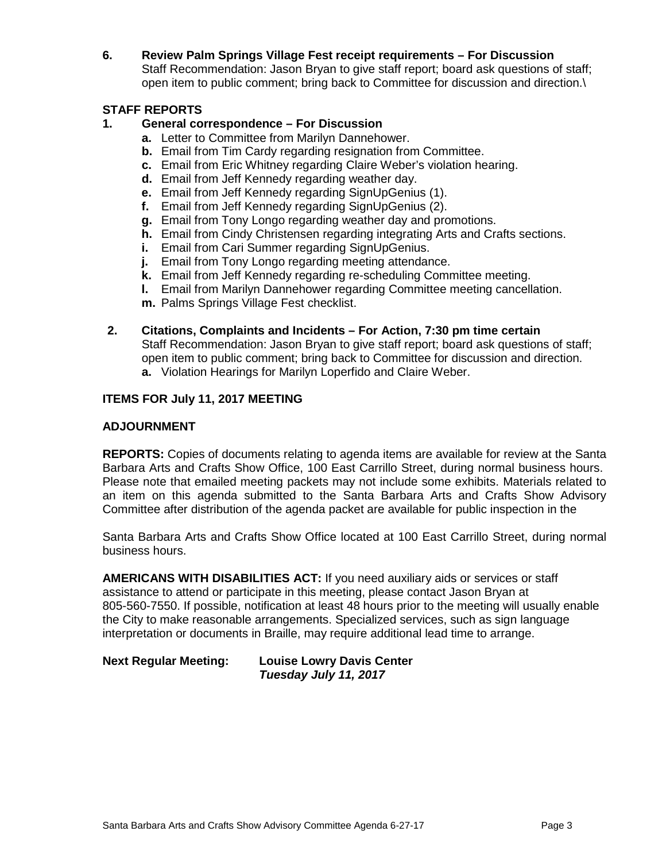# **6. Review Palm Springs Village Fest receipt requirements – For Discussion**

Staff Recommendation: Jason Bryan to give staff report; board ask questions of staff; open item to public comment; bring back to Committee for discussion and direction.\

# **STAFF REPORTS**

# **1. General correspondence – For Discussion**

- **a.** Letter to Committee from Marilyn Dannehower.
- **b.** Email from Tim Cardy regarding resignation from Committee.
- **c.** Email from Eric Whitney regarding Claire Weber's violation hearing.
- **d.** Email from Jeff Kennedy regarding weather day.
- **e.** Email from Jeff Kennedy regarding SignUpGenius (1).
- **f.** Email from Jeff Kennedy regarding SignUpGenius (2).
- **g.** Email from Tony Longo regarding weather day and promotions.
- **h.** Email from Cindy Christensen regarding integrating Arts and Crafts sections.
- **i.** Email from Cari Summer regarding SignUpGenius.
- **j.** Email from Tony Longo regarding meeting attendance.
- **k.** Email from Jeff Kennedy regarding re-scheduling Committee meeting.
- **l.** Email from Marilyn Dannehower regarding Committee meeting cancellation.
- **m.** Palms Springs Village Fest checklist.

#### **2. Citations, Complaints and Incidents – For Action, 7:30 pm time certain**

Staff Recommendation: Jason Bryan to give staff report; board ask questions of staff; open item to public comment; bring back to Committee for discussion and direction. **a.** Violation Hearings for Marilyn Loperfido and Claire Weber.

## **ITEMS FOR July 11, 2017 MEETING**

## **ADJOURNMENT**

**REPORTS:** Copies of documents relating to agenda items are available for review at the Santa Barbara Arts and Crafts Show Office, 100 East Carrillo Street, during normal business hours. Please note that emailed meeting packets may not include some exhibits. Materials related to an item on this agenda submitted to the Santa Barbara Arts and Crafts Show Advisory Committee after distribution of the agenda packet are available for public inspection in the

Santa Barbara Arts and Crafts Show Office located at 100 East Carrillo Street, during normal business hours.

**AMERICANS WITH DISABILITIES ACT:** If you need auxiliary aids or services or staff assistance to attend or participate in this meeting, please contact Jason Bryan at 805-560-7550. If possible, notification at least 48 hours prior to the meeting will usually enable the City to make reasonable arrangements. Specialized services, such as sign language interpretation or documents in Braille, may require additional lead time to arrange.

**Next Regular Meeting: Louise Lowry Davis Center** *Tuesday July 11, 2017*